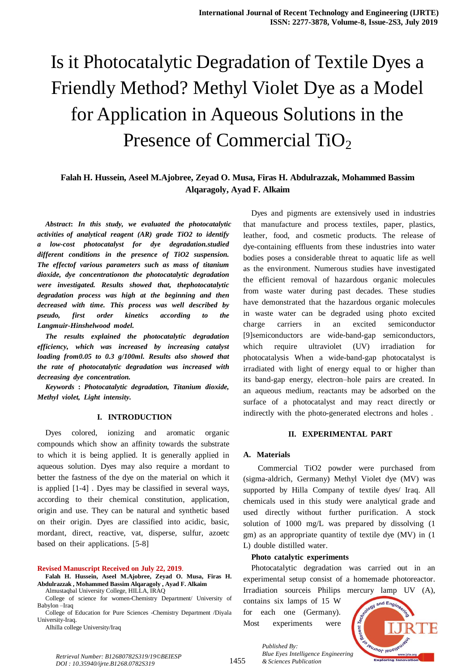# Is it Photocatalytic Degradation of Textile Dyes a Friendly Method? Methyl Violet Dye as a Model for Application in Aqueous Solutions in the Presence of Commercial TiO<sub>2</sub>

## **Falah H. Hussein, Aseel M.Ajobree, Zeyad O. Musa, Firas H. Abdulrazzak, Mohammed Bassim Alqaragoly, Ayad F. Alkaim**

*Abstract***:** *In this study, we evaluated the photocatalytic activities of analytical reagent (AR) grade TiO2 to identify a low-cost photocatalyst for dye degradation.studied different* conditions in the presence of TiO2 suspension. *Theeffectofvariousparameterssuchasmassoftitanium dioxide, dye concentrationon the photocatalytic degradation were investigated.* Results showed that, thephotocatalytic *degradation process was high at the beginning and then decreased* with time. This process was well described by *pseudo, first order kinetics according to the*  $L$ *angmuir-Hinshelwood model.* 

*Theresultsexplained* the photocatalytic degradation *efficiency, which was increased by increasing catalyst loading from0.05 to* 0.3 *g*/100ml. Results also showed that *theTrate ofphotocatalytic degradation was increased with decreasing dye concentration.* 

*Keywords* : *Photocatalytic degradation, Titanium dioxide, Methyl* violet, Light intensity.

#### **I. INTRODUCTION**

Dyes colored, ionizing and aromatic organic compounds which show an affinity towards the substrate to which it is being applied. It is generally applied in aqueous solution. Dyes may also require a mordant to better the fastness of the dye on the material on which it is applied  $[1-4]$ . Dyes may be classified in several ways, according to their chemical constitution, application, origin and use. They can be natural and synthetic based on their origin. Dyes are classified into acidic, basic, mordant, direct, reactive, vat, disperse, sulfur, azoetc based on their applications. [5-8]

#### **Revised Manuscript Received on July 22, 2019**.

**Falah H. Hussein, Aseel M.Ajobree, Zeyad O. Musa, Firas H. Abdulrazzak , Mohammed Bassim Alqaragoly , Ayad F. Alkaim** Almustaqbal University College, HILLA, IRAQ

College of science for women-Chemistry Department/ University of Babylon –Iraq

College of Education for Pure Sciences -Chemistry Department /Diyala University-Iraq.

Alhilla college University/Iraq

Dyes and pigments are extensively used in industries that manufacture and process textiles, paper, plastics, leather, food, and cosmetic products. The release of dye-containing effluents from these industries into water bodies poses a considerable threat to aquatic life as well as the environment. Numerous studies have investigated the efficient removal of hazardous organic molecules from waste water during past decades. These studies have demonstrated that the hazardous organic molecules in waste water can be degraded using photo excited charge carriers in an excited semiconductor [9]semiconductors are wide-band-gap semiconductors, which require ultraviolet (UV) irradiation for photocatalysis When a wide-band-gap photocatalyst is irradiated with light of energy equal to or higher than its band-gap energy, electron–hole pairs are created. In an aqueous medium, reactants may be adsorbed on the surface of a photocatalyst and may react directly or indirectly with the photo-generated electrons and holes.

## **II. EXPERIMENTAL PART**

#### **A. Materials**

Commercial TiO2 powder were purchased from (sigma-aldrich, Germany) Methyl Violet dye (MV) was supported by Hilla Company of textile dyes/ Iraq. All chemicals used in this study were analytical grade and used directly without further purification. A stock solution of  $1000$  mg/L was prepared by dissolving (1 gm) as an appropriate quantity of textile dye (MV) in  $(1)$ L) double distilled water.

### **Photocatalyticexperiments**

Photocatalytic degradation was carried out in an experimental setup consist of a homemade photoreactor. Irradiation sourceis Philips mercury lamp UV (A),

contains six lamps of  $15$  W for each one (Germany). Most experiments were

*& Sciences Publication* 

*Published By:*



*Retrieval Number: B12680782S319/19©BEIESP DOI : 10.35940/ijrte.B1268.0782S319*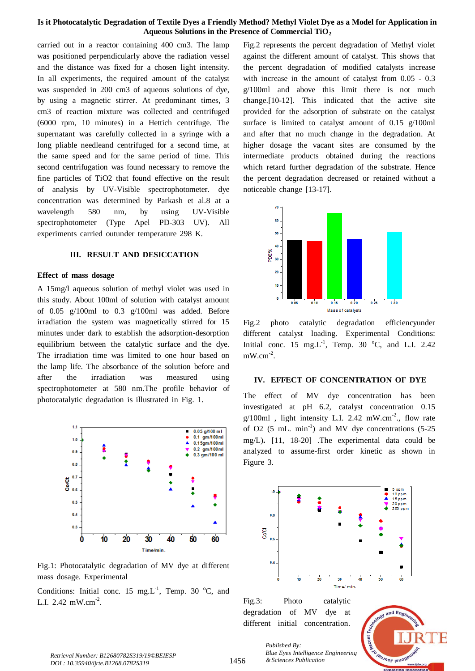## **Is it Photocatalytic Degradation of Textile Dyes a Friendly Method? Methyl Violet Dye as a Model for Application in Aqueous Solutions in the Presence of Commercial TiO<sup>2</sup>**

carried out in a reactor containing 400 cm3. The lamp was positioned perpendicularly above the radiation vessel and the distance was fixed for a chosen light intensity. In all experiments, the required amount of the catalyst was suspended in 200 cm3 of aqueous solutions of dye, by using a magnetic stirrer. At predominant times, 3 cm3 of reaction mixture was collected and centrifuged  $(6000$  rpm,  $10$  minutes) in a Hettich centrifuge. The supernatant was carefully collected in a syringe with a long pliable needleand centrifuged for a second time, at the same speed and for the same period of time. This second centrifugation was found necessary to remove the fine particles of TiO2 that found effective on the result of analysis by UV-Visible spectrophotometer. dye concentration was determined by Parkash et al.8 at a wavelength 580 nm, by using UV-Visible spectrophotometer (Type Apel PD-303 UV). All experiments carried outunder temperature 298 K.

#### **III. RESULT** AND **DESICCATION**

### **Effect** of mass dosage

A 15mg/l aqueous solution of methyl violet was used in this study. About 100ml of solution with catalyst amount of  $0.05$  g/100ml to  $0.3$  g/100ml was added. Before  $irradiation$  the system was magnetically stirred for  $15$ minutes under dark to establish the adsorption-desorption equilibrium between the catalytic surface and the dye. The irradiation time was limited to one hour based on the lamp life. The absorbance of the solution before and after the irradiation was measured using spectrophotometer at 580 nm.The profile behavior of photocatalytic degradation is illustrated in Fig. 1.



Fig.1: Photocatalytic degradation of MV dye at different mass dosage. Experimental

Conditions: Initial conc. 15 mg.L<sup>-1</sup>, Temp. 30 °C, and L.I.  $2.42 \text{ mW.cm}^{-2}$ .

Fig.2 represents the percent degradation of Methyl violet against the different amount of catalyst. This shows that the percent degradation of modified catalysts increase with increase in the amount of catalyst from  $0.05 - 0.3$  $g/100$ ml and above this limit there is not much change.<sup>[10-12]</sup>. This indicated that the active site provided for the adsorption of substrate on the catalyst surface is limited to catalyst amount of  $0.15$  g/100ml and after that no much change in the degradation. At higher dosage the vacant sites are consumed by the intermediate products obtained during the reactions which retard further degradation of the substrate. Hence the percent degradation decreased or retained without a noticeable change  $[13-17]$ .



Fig.2 photo catalytic degradation efficiencyunder different catalyst loading. Experimental Conditions: Initial conc. 15 mg.L<sup>-1</sup>, Temp. 30 °C, and L.I. 2.42  $mW.cm^{-2}$ .

## **IV. EFFECT OF CONCENTRATION OF DYE**

The effect of MV dye concentration has been investigated at pH $6.2$ , catalyst concentration  $0.15$  $g/100$ ml, light intensity L.I. 2.42 mW.cm<sup>-2</sup>., flow rate of O2  $(5 \text{ mL. min}^{-1})$  and MV dye concentrations  $(5-25 \text{ T})$ mg/L).  $[11, 18-20]$  . The experimental data could be analyzed to assume-first order kinetic as shown in Figure 3.



Fig.3: Photo catalytic degradation of MV dye at different initial concentration.



*Published By: Blue Eyes Intelligence Engineering & Sciences Publication*